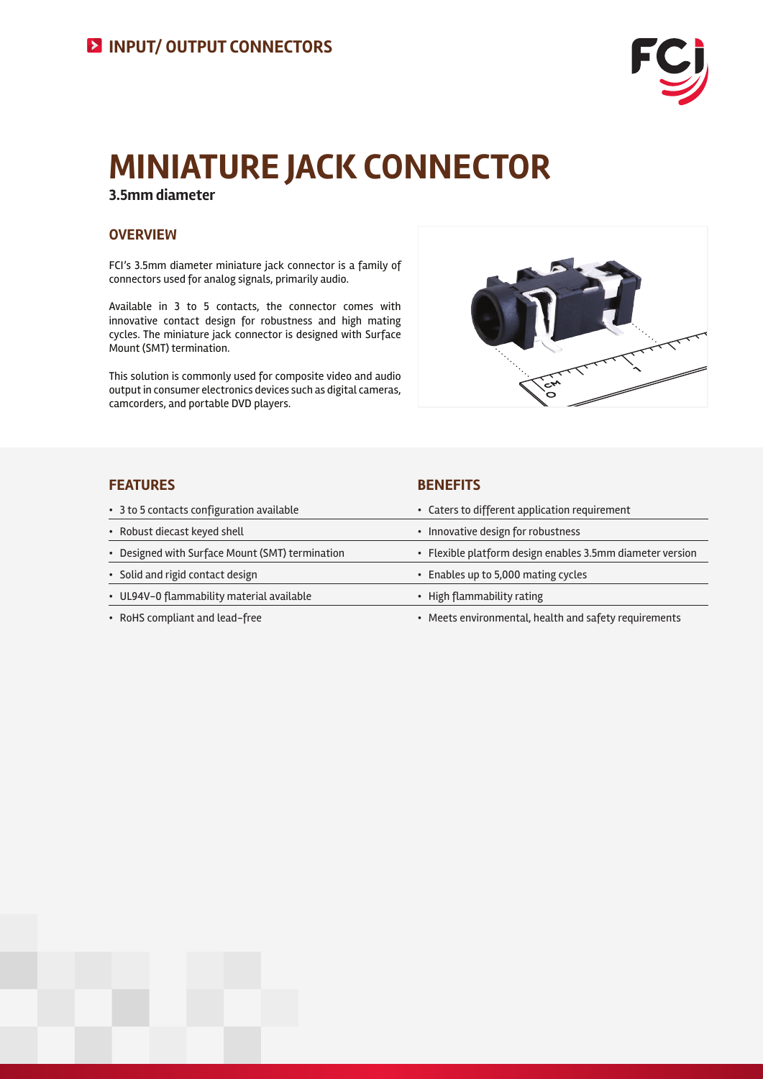

# **MINIATURE JACK CONNECTOR**

**3.5mm diameter**

# **OVERVIEW**

FCI's 3.5mm diameter miniature jack connector is a family of connectors used for analog signals, primarily audio.

Available in 3 to 5 contacts, the connector comes with innovative contact design for robustness and high mating cycles. The miniature jack connector is designed with Surface Mount (SMT) termination.

This solution is commonly used for composite video and audio output in consumer electronics devices such as digital cameras, camcorders, and portable DVD players.



## **FEATURES BENEFITS**

| • 3 to 5 contacts configuration available       | • Caters to different application requirement             |
|-------------------------------------------------|-----------------------------------------------------------|
| • Robust diecast keyed shell                    | • Innovative design for robustness                        |
| • Designed with Surface Mount (SMT) termination | • Flexible platform design enables 3.5mm diameter version |
| • Solid and rigid contact design                | • Enables up to 5,000 mating cycles                       |
| • UL94V-0 flammability material available       | • High flammability rating                                |
| • RoHS compliant and lead-free                  | • Meets environmental, health and safety requirements     |